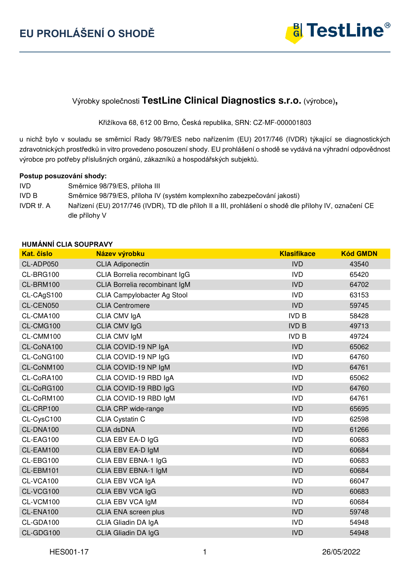

# Výrobky společnosti **TestLine Clinical Diagnostics s.r.o.** (výrobce)**,**

Křižíkova 68, 612 00 Brno, Česká republika, SRN: CZ-MF-000001803

u nichž bylo v souladu se směrnicí Rady 98/79/ES nebo nařízením (EU) 2017/746 (IVDR) týkající se diagnostických zdravotnických prostředků in vitro provedeno posouzení shody. EU prohlášení o shodě se vydává na výhradní odpovědnost výrobce pro potřeby příslušných orgánů, zákazníků a hospodářských subjektů.

#### **Postup posuzování shody:**

IVD Směrnice 98/79/ES, příloha III IVD B Směrnice 98/79/ES, příloha IV (systém komplexního zabezpečování jakosti) IVDR tř. A Nařízení (EU) 2017/746 (IVDR), TD dle příloh II a III, prohlášení o shodě dle přílohy IV, označení CE dle přílohy V

#### **HUMÁNNÍ CLIA SOUPRAVY**

| <b>Kat. číslo</b> | Název výrobku                 | <b>Klasifikace</b> | <b>Kód GMDN</b> |
|-------------------|-------------------------------|--------------------|-----------------|
| CL-ADP050         | <b>CLIA Adiponectin</b>       | <b>IVD</b>         | 43540           |
| CL-BRG100         | CLIA Borrelia recombinant IgG | <b>IVD</b>         | 65420           |
| CL-BRM100         | CLIA Borrelia recombinant IgM | <b>IVD</b>         | 64702           |
| CL-CAgS100        | CLIA Campylobacter Ag Stool   | <b>IVD</b>         | 63153           |
| CL-CEN050         | <b>CLIA Centromere</b>        | <b>IVD</b>         | 59745           |
| CL-CMA100         | CLIA CMV IgA                  | <b>IVD B</b>       | 58428           |
| CL-CMG100         | <b>CLIA CMV IgG</b>           | <b>IVD B</b>       | 49713           |
| CL-CMM100         | CLIA CMV IgM                  | <b>IVD B</b>       | 49724           |
| CL-CoNA100        | CLIA COVID-19 NP IgA          | <b>IVD</b>         | 65062           |
| CL-CoNG100        | CLIA COVID-19 NP IgG          | <b>IVD</b>         | 64760           |
| CL-CoNM100        | CLIA COVID-19 NP IgM          | <b>IVD</b>         | 64761           |
| CL-CoRA100        | CLIA COVID-19 RBD IgA         | <b>IVD</b>         | 65062           |
| CL-CoRG100        | CLIA COVID-19 RBD IgG         | <b>IVD</b>         | 64760           |
| CL-CoRM100        | CLIA COVID-19 RBD IgM         | <b>IVD</b>         | 64761           |
| CL-CRP100         | CLIA CRP wide-range           | <b>IVD</b>         | 65695           |
| CL-CysC100        | CLIA Cystatin C               | <b>IVD</b>         | 62598           |
| CL-DNA100         | <b>CLIA dsDNA</b>             | <b>IVD</b>         | 61266           |
| CL-EAG100         | CLIA EBV EA-D IgG             | <b>IVD</b>         | 60683           |
| CL-EAM100         | CLIA EBV EA-D IgM             | <b>IVD</b>         | 60684           |
| CL-EBG100         | CLIA EBV EBNA-1 IgG           | <b>IVD</b>         | 60683           |
| CL-EBM101         | CLIA EBV EBNA-1 IgM           | <b>IVD</b>         | 60684           |
| CL-VCA100         | CLIA EBV VCA IgA              | <b>IVD</b>         | 66047           |
| CL-VCG100         | CLIA EBV VCA IgG              | <b>IVD</b>         | 60683           |
| CL-VCM100         | CLIA EBV VCA IgM              | <b>IVD</b>         | 60684           |
| CL-ENA100         | CLIA ENA screen plus          | <b>IVD</b>         | 59748           |
| CL-GDA100         | CLIA Gliadin DA IgA           | <b>IVD</b>         | 54948           |
| CL-GDG100         | CLIA Gliadin DA IgG           | <b>IVD</b>         | 54948           |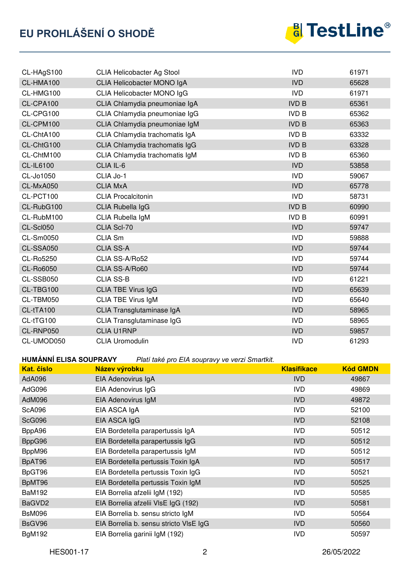

| CL-HAgS100       | <b>CLIA Helicobacter Ag Stool</b> | <b>IVD</b>   | 61971 |
|------------------|-----------------------------------|--------------|-------|
| CL-HMA100        | CLIA Helicobacter MONO IgA        | <b>IVD</b>   | 65628 |
| CL-HMG100        | CLIA Helicobacter MONO IgG        | <b>IVD</b>   | 61971 |
| CL-CPA100        | CLIA Chlamydia pneumoniae IgA     | <b>IVD B</b> | 65361 |
| CL-CPG100        | CLIA Chlamydia pneumoniae IgG     | <b>IVD B</b> | 65362 |
| CL-CPM100        | CLIA Chlamydia pneumoniae IgM     | <b>IVD B</b> | 65363 |
| CL-ChtA100       | CLIA Chlamydia trachomatis IgA    | <b>IVD B</b> | 63332 |
| CL-ChtG100       | CLIA Chlamydia trachomatis IgG    | <b>IVD B</b> | 63328 |
| CL-ChtM100       | CLIA Chlamydia trachomatis IgM    | <b>IVD B</b> | 65360 |
| <b>CL-IL6100</b> | CLIA IL-6                         | <b>IVD</b>   | 53858 |
| CL-Jo1050        | CLIA Jo-1                         | <b>IVD</b>   | 59067 |
| CL-MxA050        | <b>CLIA MxA</b>                   | <b>IVD</b>   | 65778 |
| CL-PCT100        | <b>CLIA Procalcitonin</b>         | <b>IVD</b>   | 58731 |
| CL-RubG100       | CLIA Rubella IgG                  | <b>IVD B</b> | 60990 |
| CL-RubM100       | CLIA Rubella IgM                  | <b>IVD B</b> | 60991 |
| CL-Scl050        | CLIA Scl-70                       | <b>IVD</b>   | 59747 |
| CL-Sm0050        | CLIA Sm                           | <b>IVD</b>   | 59888 |
| CL-SSA050        | <b>CLIA SS-A</b>                  | <b>IVD</b>   | 59744 |
| CL-Ro5250        | CLIA SS-A/Ro52                    | <b>IVD</b>   | 59744 |
| CL-Ro6050        | CLIA SS-A/Ro60                    | <b>IVD</b>   | 59744 |
| CL-SSB050        | <b>CLIA SS-B</b>                  | <b>IVD</b>   | 61221 |
| CL-TBG100        | <b>CLIA TBE Virus IgG</b>         | <b>IVD</b>   | 65639 |
| CL-TBM050        | <b>CLIA TBE Virus IgM</b>         | <b>IVD</b>   | 65640 |
| CL-tTA100        | CLIA Transglutaminase IgA         | <b>IVD</b>   | 58965 |
| CL-tTG100        | CLIA Transglutaminase IgG         | <b>IVD</b>   | 58965 |
| CL-RNP050        | <b>CLIA U1RNP</b>                 | <b>IVD</b>   | 59857 |
| CL-UMOD050       | <b>CLIA Uromodulin</b>            | <b>IVD</b>   | 61293 |

**HUMÁNNÍ ELISA SOUPRAVY** *Platí také pro EIA soupravy ve verzi Smartkit.*

| Kat. číslo    | $\frac{1}{2}$ and $\frac{1}{2}$ and $\frac{1}{2}$ and $\frac{1}{2}$ are $\frac{1}{2}$ and $\frac{1}{2}$ and $\frac{1}{2}$ and $\frac{1}{2}$ and $\frac{1}{2}$<br>Název výrobku | <b>Klasifikace</b> | <b>Kód GMDN</b> |
|---------------|--------------------------------------------------------------------------------------------------------------------------------------------------------------------------------|--------------------|-----------------|
| AdA096        | EIA Adenovirus IgA                                                                                                                                                             | <b>IVD</b>         | 49867           |
| AdG096        | EIA Adenovirus IgG                                                                                                                                                             | IVD                | 49869           |
| AdM096        | EIA Adenovirus IgM                                                                                                                                                             | <b>IVD</b>         | 49872           |
| <b>ScA096</b> | EIA ASCA IgA                                                                                                                                                                   | <b>IVD</b>         | 52100           |
| <b>ScG096</b> | EIA ASCA IgG                                                                                                                                                                   | <b>IVD</b>         | 52108           |
| BppA96        | EIA Bordetella parapertussis IgA                                                                                                                                               | IVD                | 50512           |
| BppG96        | EIA Bordetella parapertussis IgG                                                                                                                                               | <b>IVD</b>         | 50512           |
| BppM96        | EIA Bordetella parapertussis IgM                                                                                                                                               | <b>IVD</b>         | 50512           |
| BpAT96        | EIA Bordetella pertussis Toxin IgA                                                                                                                                             | <b>IVD</b>         | 50517           |
| BpGT96        | EIA Bordetella pertussis Toxin IgG                                                                                                                                             | <b>IVD</b>         | 50521           |
| BpMT96        | EIA Bordetella pertussis Toxin IgM                                                                                                                                             | <b>IVD</b>         | 50525           |
| <b>BaM192</b> | EIA Borrelia afzelii IgM (192)                                                                                                                                                 | IVD                | 50585           |
| BaGVD2        | EIA Borrelia afzelii VIsE IgG (192)                                                                                                                                            | <b>IVD</b>         | 50581           |
| <b>BsM096</b> | EIA Borrelia b. sensu stricto IgM                                                                                                                                              | <b>IVD</b>         | 50564           |
| BsGV96        | EIA Borrelia b. sensu stricto VIsE IgG                                                                                                                                         | <b>IVD</b>         | 50560           |
| <b>BgM192</b> | EIA Borrelia garinii IgM (192)                                                                                                                                                 | IVD                | 50597           |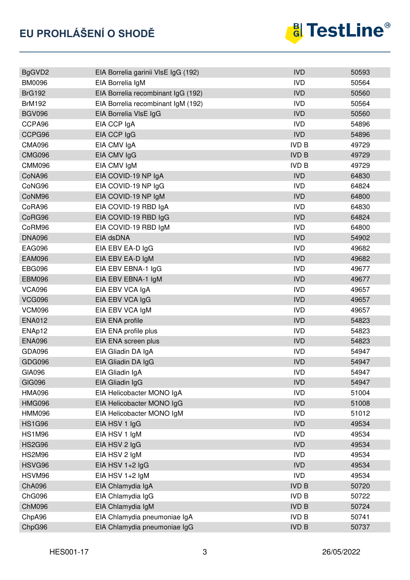

| BgGVD2        | EIA Borrelia garinii VIsE IgG (192) | <b>IVD</b>   | 50593 |
|---------------|-------------------------------------|--------------|-------|
| <b>BM0096</b> | EIA Borrelia IgM                    | <b>IVD</b>   | 50564 |
| <b>BrG192</b> | EIA Borrelia recombinant IgG (192)  | <b>IVD</b>   | 50560 |
| <b>BrM192</b> | EIA Borrelia recombinant IgM (192)  | <b>IVD</b>   | 50564 |
| <b>BGV096</b> | EIA Borrelia VIsE IgG               | <b>IVD</b>   | 50560 |
| CCPA96        | EIA CCP IgA                         | <b>IVD</b>   | 54896 |
| CCPG96        | EIA CCP IgG                         | <b>IVD</b>   | 54896 |
| <b>CMA096</b> | EIA CMV IgA                         | <b>IVD B</b> | 49729 |
| <b>CMG096</b> | EIA CMV IgG                         | <b>IVD B</b> | 49729 |
| <b>CMM096</b> | EIA CMV IgM                         | <b>IVD B</b> | 49729 |
| CoNA96        | EIA COVID-19 NP IgA                 | <b>IVD</b>   | 64830 |
| CoNG96        | EIA COVID-19 NP IgG                 | <b>IVD</b>   | 64824 |
| CoNM96        | EIA COVID-19 NP IgM                 | <b>IVD</b>   | 64800 |
| CoRA96        | EIA COVID-19 RBD IgA                | <b>IVD</b>   | 64830 |
| CoRG96        | EIA COVID-19 RBD IgG                | <b>IVD</b>   | 64824 |
| CoRM96        | EIA COVID-19 RBD IgM                | <b>IVD</b>   | 64800 |
| <b>DNA096</b> | EIA dsDNA                           | <b>IVD</b>   | 54902 |
| <b>EAG096</b> | EIA EBV EA-D IgG                    | <b>IVD</b>   | 49682 |
| <b>EAM096</b> | EIA EBV EA-D IgM                    | <b>IVD</b>   | 49682 |
| <b>EBG096</b> | EIA EBV EBNA-1 IgG                  | <b>IVD</b>   | 49677 |
| <b>EBM096</b> | EIA EBV EBNA-1 IgM                  | <b>IVD</b>   | 49677 |
| <b>VCA096</b> | EIA EBV VCA IgA                     | <b>IVD</b>   | 49657 |
| <b>VCG096</b> | EIA EBV VCA IgG                     | <b>IVD</b>   | 49657 |
| <b>VCM096</b> | EIA EBV VCA IgM                     | <b>IVD</b>   | 49657 |
| <b>ENA012</b> | EIA ENA profile                     | <b>IVD</b>   | 54823 |
| ENAp12        | EIA ENA profile plus                | <b>IVD</b>   | 54823 |
| <b>ENA096</b> | EIA ENA screen plus                 | <b>IVD</b>   | 54823 |
| GDA096        | EIA Gliadin DA IgA                  | <b>IVD</b>   | 54947 |
| GDG096        | EIA Gliadin DA IgG                  | <b>IVD</b>   | 54947 |
| GIA096        | EIA Gliadin IgA                     | <b>IVD</b>   | 54947 |
| <b>GIG096</b> | EIA Gliadin IgG                     | <b>IVD</b>   | 54947 |
| <b>HMA096</b> | EIA Helicobacter MONO IgA           | <b>IVD</b>   | 51004 |
| <b>HMG096</b> | EIA Helicobacter MONO IgG           | <b>IVD</b>   | 51008 |
| <b>HMM096</b> | EIA Helicobacter MONO IgM           | <b>IVD</b>   | 51012 |
| <b>HS1G96</b> | EIA HSV 1 IgG                       | <b>IVD</b>   | 49534 |
| <b>HS1M96</b> | EIA HSV 1 IgM                       | <b>IVD</b>   | 49534 |
| <b>HS2G96</b> | EIA HSV 2 IgG                       | <b>IVD</b>   | 49534 |
| <b>HS2M96</b> | EIA HSV 2 IgM                       | <b>IVD</b>   | 49534 |
| HSVG96        | EIA HSV $1+2$ lgG                   | <b>IVD</b>   | 49534 |
| HSVM96        | EIA HSV $1+2$ lgM                   | <b>IVD</b>   | 49534 |
| <b>ChA096</b> | EIA Chlamydia IgA                   | <b>IVD B</b> | 50720 |
| <b>ChG096</b> | EIA Chlamydia IgG                   | <b>IVD B</b> | 50722 |
| <b>ChM096</b> | EIA Chlamydia IgM                   | <b>IVD B</b> | 50724 |
| ChpA96        | EIA Chlamydia pneumoniae IgA        | <b>IVD B</b> | 50741 |
| ChpG96        | EIA Chlamydia pneumoniae IgG        | <b>IVD B</b> | 50737 |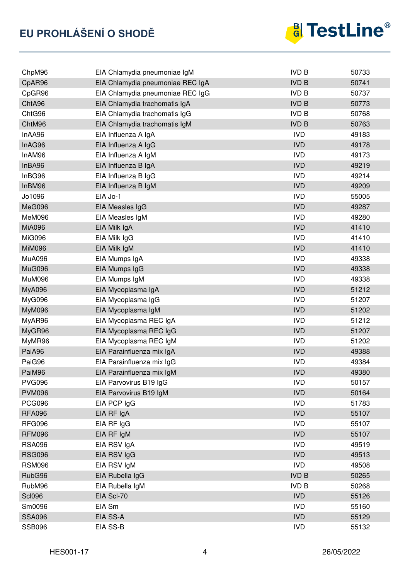

| ChpM96        | EIA Chlamydia pneumoniae IgM     | <b>IVD B</b> | 50733 |
|---------------|----------------------------------|--------------|-------|
| CpAR96        | EIA Chlamydia pneumoniae REC IgA | <b>IVD B</b> | 50741 |
| CpGR96        | EIA Chlamydia pneumoniae REC IgG | <b>IVD B</b> | 50737 |
| ChtA96        | EIA Chlamydia trachomatis IgA    | <b>IVD B</b> | 50773 |
| ChtG96        | EIA Chlamydia trachomatis IgG    | <b>IVD B</b> | 50768 |
| ChtM96        | EIA Chlamydia trachomatis IgM    | <b>IVD B</b> | 50763 |
| InAA96        | EIA Influenza A IgA              | <b>IVD</b>   | 49183 |
| InAG96        | EIA Influenza A IgG              | <b>IVD</b>   | 49178 |
| InAM96        | EIA Influenza A IgM              | <b>IVD</b>   | 49173 |
| InBA96        | EIA Influenza B IgA              | <b>IVD</b>   | 49219 |
| InBG96        | EIA Influenza B IgG              | <b>IVD</b>   | 49214 |
| InBM96        | EIA Influenza B IgM              | <b>IVD</b>   | 49209 |
| Jo1096        | EIA Jo-1                         | <b>IVD</b>   | 55005 |
| MeG096        | EIA Measles IgG                  | <b>IVD</b>   | 49287 |
| MeM096        | EIA Measles IgM                  | <b>IVD</b>   | 49280 |
| <b>MiA096</b> | EIA Milk IgA                     | <b>IVD</b>   | 41410 |
| <b>MiG096</b> | EIA Milk IgG                     | <b>IVD</b>   | 41410 |
| <b>MiM096</b> | EIA Milk IgM                     | <b>IVD</b>   | 41410 |
| <b>MuA096</b> | EIA Mumps IgA                    | <b>IVD</b>   | 49338 |
| MuG096        | EIA Mumps IgG                    | <b>IVD</b>   | 49338 |
| <b>MuM096</b> | EIA Mumps IgM                    | <b>IVD</b>   | 49338 |
| <b>MyA096</b> | EIA Mycoplasma IgA               | <b>IVD</b>   | 51212 |
| MyG096        | EIA Mycoplasma IgG               | <b>IVD</b>   | 51207 |
| <b>MyM096</b> | EIA Mycoplasma IgM               | <b>IVD</b>   | 51202 |
| MyAR96        | EIA Mycoplasma REC IgA           | <b>IVD</b>   | 51212 |
| MyGR96        | EIA Mycoplasma REC IgG           | <b>IVD</b>   | 51207 |
| MyMR96        | EIA Mycoplasma REC IgM           | <b>IVD</b>   | 51202 |
| PaiA96        | EIA Parainfluenza mix IgA        | <b>IVD</b>   | 49388 |
| PaiG96        | EIA Parainfluenza mix IgG        | <b>IVD</b>   | 49384 |
| PaiM96        | EIA Parainfluenza mix IgM        | <b>IVD</b>   | 49380 |
| <b>PVG096</b> | EIA Parvovirus B19 IgG           | <b>IVD</b>   | 50157 |
| <b>PVM096</b> | EIA Parvovirus B19 IgM           | <b>IVD</b>   | 50164 |
| <b>PCG096</b> | EIA PCP IgG                      | <b>IVD</b>   | 51783 |
| <b>RFA096</b> | EIA RF IgA                       | <b>IVD</b>   | 55107 |
| <b>RFG096</b> | EIA RF IgG                       | <b>IVD</b>   | 55107 |
| <b>RFM096</b> | EIA RF IgM                       | <b>IVD</b>   | 55107 |
| <b>RSA096</b> | EIA RSV IgA                      | <b>IVD</b>   | 49519 |
| <b>RSG096</b> | EIA RSV IgG                      | <b>IVD</b>   | 49513 |
| <b>RSM096</b> | EIA RSV IgM                      | <b>IVD</b>   | 49508 |
| RubG96        | EIA Rubella IgG                  | <b>IVD B</b> | 50265 |
| RubM96        | EIA Rubella IgM                  | <b>IVD B</b> | 50268 |
| <b>Scl096</b> | EIA Scl-70                       | <b>IVD</b>   | 55126 |
| Sm0096        | EIA Sm                           | <b>IVD</b>   | 55160 |
| <b>SSA096</b> | EIA SS-A                         | <b>IVD</b>   | 55129 |
| <b>SSB096</b> | EIA SS-B                         | <b>IVD</b>   | 55132 |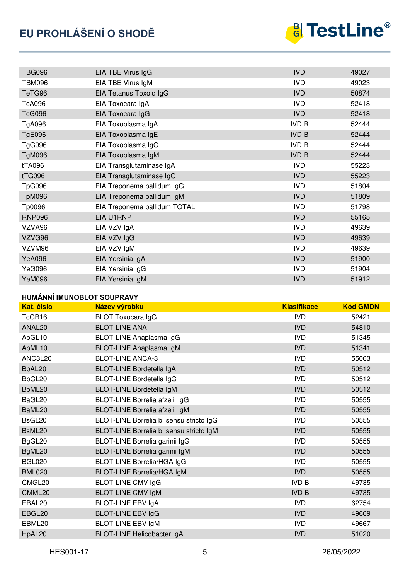# **EU PROHLÁŠENÍ O SHODĚ**



| <b>TBG096</b> | EIA TBE Virus IgG            | <b>IVD</b>   | 49027 |
|---------------|------------------------------|--------------|-------|
| <b>TBM096</b> | EIA TBE Virus IgM            | <b>IVD</b>   | 49023 |
| TeTG96        | EIA Tetanus Toxoid IgG       | <b>IVD</b>   | 50874 |
| <b>TcA096</b> | EIA Toxocara IgA             | <b>IVD</b>   | 52418 |
| <b>TcG096</b> | EIA Toxocara IgG             | <b>IVD</b>   | 52418 |
| TgA096        | EIA Toxoplasma IgA           | <b>IVD B</b> | 52444 |
| <b>TgE096</b> | EIA Toxoplasma IgE           | <b>IVD B</b> | 52444 |
| TgG096        | EIA Toxoplasma IgG           | <b>IVD B</b> | 52444 |
| TgM096        | EIA Toxoplasma IgM           | <b>IVD B</b> | 52444 |
| tTA096        | EIA Transglutaminase IgA     | <b>IVD</b>   | 55223 |
| tTG096        | EIA Transglutaminase IgG     | <b>IVD</b>   | 55223 |
| <b>TpG096</b> | EIA Treponema pallidum IgG   | <b>IVD</b>   | 51804 |
| TpM096        | EIA Treponema pallidum IgM   | <b>IVD</b>   | 51809 |
| Tp0096        | EIA Treponema pallidum TOTAL | <b>IVD</b>   | 51798 |
| <b>RNP096</b> | EIA U1RNP                    | <b>IVD</b>   | 55165 |
| VZVA96        | EIA VZV IgA                  | <b>IVD</b>   | 49639 |
| VZVG96        | EIA VZV IgG                  | <b>IVD</b>   | 49639 |
| VZVM96        | EIA VZV IgM                  | <b>IVD</b>   | 49639 |
| <b>YeA096</b> | EIA Yersinia IgA             | <b>IVD</b>   | 51900 |
| YeG096        | EIA Yersinia IgG             | <b>IVD</b>   | 51904 |
| <b>YeM096</b> | EIA Yersinia IgM             | <b>IVD</b>   | 51912 |

#### **HUMÁNNÍ IMUNOBLOT SOUPRAVY**

| <b>Kat. číslo</b> | Název výrobku                           | <b>Klasifikace</b> | <b>Kód GMDN</b> |
|-------------------|-----------------------------------------|--------------------|-----------------|
| TcGB16            | <b>BLOT Toxocara IgG</b>                | <b>IVD</b>         | 52421           |
| ANAL20            | <b>BLOT-LINE ANA</b>                    | <b>IVD</b>         | 54810           |
| ApGL10            | BLOT-LINE Anaplasma IgG                 | <b>IVD</b>         | 51345           |
| ApML10            | BLOT-LINE Anaplasma IgM                 | <b>IVD</b>         | 51341           |
| ANC3L20           | <b>BLOT-LINE ANCA-3</b>                 | <b>IVD</b>         | 55063           |
| BpAL20            | <b>BLOT-LINE Bordetella IgA</b>         | <b>IVD</b>         | 50512           |
| BpGL20            | <b>BLOT-LINE Bordetella IgG</b>         | <b>IVD</b>         | 50512           |
| BpML20            | <b>BLOT-LINE Bordetella IgM</b>         | <b>IVD</b>         | 50512           |
| BaGL20            | BLOT-LINE Borrelia afzelii IgG          | <b>IVD</b>         | 50555           |
| BaML20            | BLOT-LINE Borrelia afzelii IgM          | <b>IVD</b>         | 50555           |
| BsGL20            | BLOT-LINE Borrelia b. sensu stricto IgG | <b>IVD</b>         | 50555           |
| BsML20            | BLOT-LINE Borrelia b. sensu stricto IgM | <b>IVD</b>         | 50555           |
| BgGL20            | BLOT-LINE Borrelia garinii IgG          | <b>IVD</b>         | 50555           |
| BgML20            | BLOT-LINE Borrelia garinii IgM          | <b>IVD</b>         | 50555           |
| <b>BGL020</b>     | <b>BLOT-LINE Borrelia/HGA IgG</b>       | <b>IVD</b>         | 50555           |
| <b>BML020</b>     | <b>BLOT-LINE Borrelia/HGA IgM</b>       | <b>IVD</b>         | 50555           |
| CMGL20            | <b>BLOT-LINE CMV IgG</b>                | <b>IVD B</b>       | 49735           |
| CMML20            | <b>BLOT-LINE CMV IgM</b>                | <b>IVD B</b>       | 49735           |
| EBAL20            | <b>BLOT-LINE EBV IgA</b>                | <b>IVD</b>         | 62754           |
| EBGL20            | <b>BLOT-LINE EBV IgG</b>                | <b>IVD</b>         | 49669           |
| EBML20            | <b>BLOT-LINE EBV IgM</b>                | <b>IVD</b>         | 49667           |
| HpAL20            | <b>BLOT-LINE Helicobacter IgA</b>       | <b>IVD</b>         | 51020           |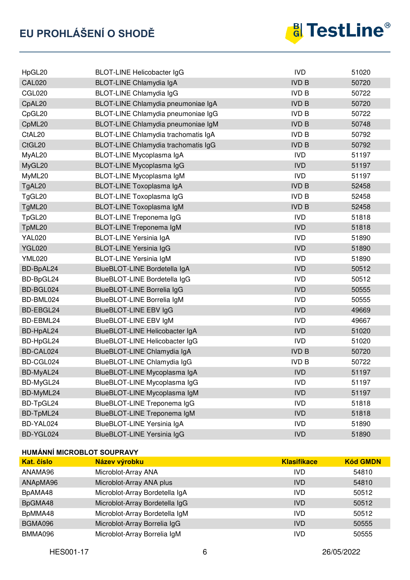

| HpGL20             | <b>BLOT-LINE Helicobacter IgG</b>   | <b>IVD</b>   | 51020 |
|--------------------|-------------------------------------|--------------|-------|
| <b>CAL020</b>      | BLOT-LINE Chlamydia IgA             | <b>IVD B</b> | 50720 |
| <b>CGL020</b>      | <b>BLOT-LINE Chlamydia IgG</b>      | <b>IVD B</b> | 50722 |
| CpAL20             | BLOT-LINE Chlamydia pneumoniae IgA  | <b>IVD B</b> | 50720 |
| CpGL20             | BLOT-LINE Chlamydia pneumoniae IgG  | <b>IVD B</b> | 50722 |
| CpML20             | BLOT-LINE Chlamydia pneumoniae IgM  | <b>IVD B</b> | 50748 |
| CtAL <sub>20</sub> | BLOT-LINE Chlamydia trachomatis IgA | <b>IVD B</b> | 50792 |
| CtGL20             | BLOT-LINE Chlamydia trachomatis IgG | <b>IVD B</b> | 50792 |
| MyAL20             | BLOT-LINE Mycoplasma IgA            | <b>IVD</b>   | 51197 |
| MyGL20             | BLOT-LINE Mycoplasma IgG            | <b>IVD</b>   | 51197 |
| MyML20             | BLOT-LINE Mycoplasma IgM            | <b>IVD</b>   | 51197 |
| TgAL20             | BLOT-LINE Toxoplasma IgA            | <b>IVD B</b> | 52458 |
| TgGL20             | BLOT-LINE Toxoplasma IgG            | <b>IVD B</b> | 52458 |
| TgML20             | <b>BLOT-LINE Toxoplasma IgM</b>     | <b>IVD B</b> | 52458 |
| TpGL20             | <b>BLOT-LINE Treponema IgG</b>      | <b>IVD</b>   | 51818 |
| TpML20             | <b>BLOT-LINE Treponema IgM</b>      | <b>IVD</b>   | 51818 |
| <b>YAL020</b>      | <b>BLOT-LINE Yersinia IgA</b>       | <b>IVD</b>   | 51890 |
| <b>YGL020</b>      | <b>BLOT-LINE Yersinia IgG</b>       | <b>IVD</b>   | 51890 |
| <b>YML020</b>      | <b>BLOT-LINE Yersinia IgM</b>       | <b>IVD</b>   | 51890 |
| BD-BpAL24          | BlueBLOT-LINE Bordetella IgA        | <b>IVD</b>   | 50512 |
| BD-BpGL24          | BlueBLOT-LINE Bordetella IgG        | <b>IVD</b>   | 50512 |
| BD-BGL024          | <b>BlueBLOT-LINE Borrelia IgG</b>   | <b>IVD</b>   | 50555 |
| BD-BML024          | BlueBLOT-LINE Borrelia IgM          | <b>IVD</b>   | 50555 |
| BD-EBGL24          | BlueBLOT-LINE EBV IgG               | <b>IVD</b>   | 49669 |
| BD-EBML24          | BlueBLOT-LINE EBV IgM               | <b>IVD</b>   | 49667 |
| BD-HpAL24          | BlueBLOT-LINE Helicobacter IgA      | <b>IVD</b>   | 51020 |
| BD-HpGL24          | BlueBLOT-LINE Helicobacter IgG      | <b>IVD</b>   | 51020 |
| BD-CAL024          | BlueBLOT-LINE Chlamydia IgA         | <b>IVD B</b> | 50720 |
| BD-CGL024          | BlueBLOT-LINE Chlamydia IgG         | <b>IVD B</b> | 50722 |
| BD-MyAL24          | BlueBLOT-LINE Mycoplasma IgA        | <b>IVD</b>   | 51197 |
| BD-MyGL24          | BlueBLOT-LINE Mycoplasma IgG        | <b>IVD</b>   | 51197 |
| BD-MyML24          | BlueBLOT-LINE Mycoplasma IgM        | <b>IVD</b>   | 51197 |
| BD-TpGL24          | BlueBLOT-LINE Treponema IgG         | <b>IVD</b>   | 51818 |
| BD-TpML24          | BlueBLOT-LINE Treponema IgM         | <b>IVD</b>   | 51818 |
| BD-YAL024          | BlueBLOT-LINE Yersinia IgA          | <b>IVD</b>   | 51890 |
| BD-YGL024          | <b>BlueBLOT-LINE Yersinia IgG</b>   | <b>IVD</b>   | 51890 |

## **HUMÁNNÍ MICROBLOT SOUPRAVY**

| <b>Kat.</b> číslo | Název výrobku                  | <b>Klasifikace</b> | <b>Kód GMDN</b> |
|-------------------|--------------------------------|--------------------|-----------------|
| ANAMA96           | Microblot-Array ANA            | IVD                | 54810           |
| ANApMA96          | Microblot-Array ANA plus       | <b>IVD</b>         | 54810           |
| BpAMA48           | Microblot-Array Bordetella IgA | <b>IVD</b>         | 50512           |
| BpGMA48           | Microblot-Array Bordetella IgG | <b>IVD</b>         | 50512           |
| BpMMA48           | Microblot-Array Bordetella IgM | <b>IVD</b>         | 50512           |
| BGMA096           | Microblot-Array Borrelia IgG   | <b>IVD</b>         | 50555           |
| BMMA096           | Microblot-Array Borrelia IgM   | IVD                | 50555           |